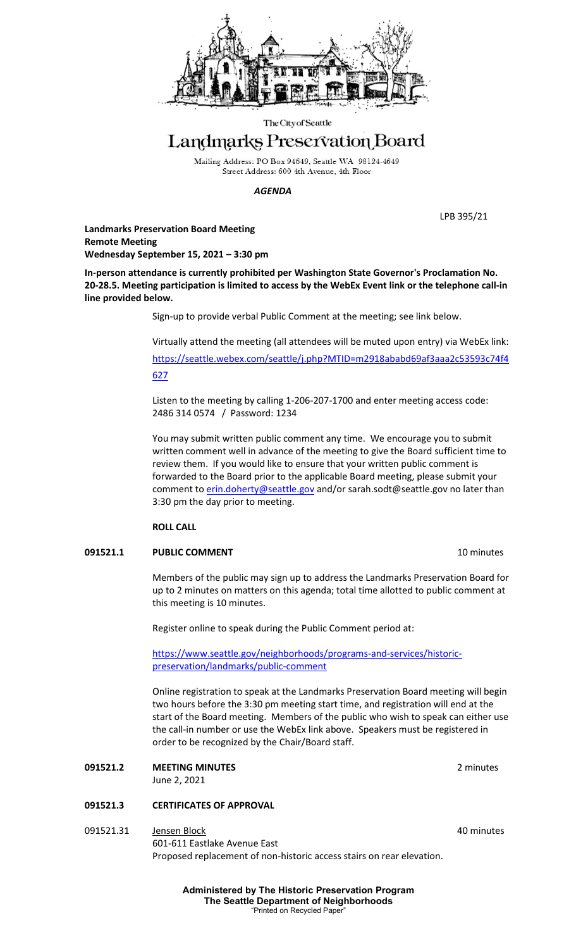

The City of Seattle

# Landmarks Preservation Board

Mailing Address: PO Box 94649, Seattle WA 98124-4649 Street Address: 600 4th Avenue, 4th Floor

*AGENDA*

LPB 395/21

**Landmarks Preservation Board Meeting Remote Meeting Wednesday September 15, 2021 – 3:30 pm**

**In-person attendance is currently prohibited per Washington State Governor's Proclamation No. 20-28.5. Meeting participation is limited to access by the WebEx Event link or the telephone call-in line provided below.**

Sign-up to provide verbal Public Comment at the meeting; see link below.

Virtually attend the meeting (all attendees will be muted upon entry) via WebEx link: [https://seattle.webex.com/seattle/j.php?MTID=m2918ababd69af3aaa2c53593c74f4](https://seattle.webex.com/seattle/j.php?MTID=m2918ababd69af3aaa2c53593c74f4627) [627](https://seattle.webex.com/seattle/j.php?MTID=m2918ababd69af3aaa2c53593c74f4627)

Listen to the meeting by calling 1-206-207-1700 and enter meeting access code: 2486 314 0574 / Password: 1234

You may submit written public comment any time. We encourage you to submit written comment well in advance of the meeting to give the Board sufficient time to review them. If you would like to ensure that your written public comment is forwarded to the Board prior to the applicable Board meeting, please submit your comment t[o erin.doherty@seattle.gov](mailto:erin.doherty@seattle.gov)</u> and/or [sarah.sodt@seattle.gov](mailto:sarah.sodt@seattle.gov) no later than 3:30 pm the day prior to meeting.

## **ROLL CALL**

## **091521.1** PUBLIC COMMENT **10 PUBLIC COMMENT**

Members of the public may sign up to address the Landmarks Preservation Board for up to 2 minutes on matters on this agenda; total time allotted to public comment at this meeting is 10 minutes.

Register online to speak during the Public Comment period at:

[https://www.seattle.gov/neighborhoods/programs-and-services/historic](https://www.seattle.gov/neighborhoods/programs-and-services/historic-preservation/landmarks/public-comment)[preservation/landmarks/public-comment](https://www.seattle.gov/neighborhoods/programs-and-services/historic-preservation/landmarks/public-comment)

Online registration to speak at the Landmarks Preservation Board meeting will begin two hours before the 3:30 pm meeting start time, and registration will end at the start of the Board meeting. Members of the public who wish to speak can either use the call-in number or use the WebEx link above. Speakers must be registered in order to be recognized by the Chair/Board staff.

**091521.2 MEETING MINUTES** 2 minutes June 2, 2021

## **091521.3 CERTIFICATES OF APPROVAL**

091521.31 Jensen Block 40 minutes 601-611 Eastlake Avenue East Proposed replacement of non-historic access stairs on rear elevation.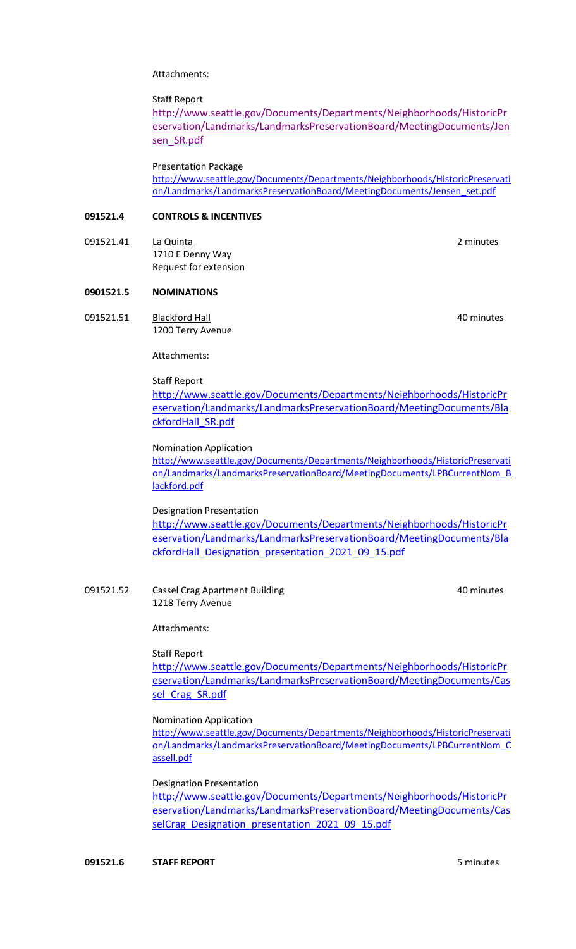Attachments:

Staff Report

[http://www.seattle.gov/Documents/Departments/Neighborhoods/HistoricPr](http://www.seattle.gov/Documents/Departments/Neighborhoods/HistoricPreservation/Landmarks/LandmarksPreservationBoard/MeetingDocuments/Jensen_SR.pdf) [eservation/Landmarks/LandmarksPreservationBoard/MeetingDocuments/Jen](http://www.seattle.gov/Documents/Departments/Neighborhoods/HistoricPreservation/Landmarks/LandmarksPreservationBoard/MeetingDocuments/Jensen_SR.pdf) [sen\\_SR.pdf](http://www.seattle.gov/Documents/Departments/Neighborhoods/HistoricPreservation/Landmarks/LandmarksPreservationBoard/MeetingDocuments/Jensen_SR.pdf)

Presentation Package

[http://www.seattle.gov/Documents/Departments/Neighborhoods/HistoricPreservati](http://www.seattle.gov/Documents/Departments/Neighborhoods/HistoricPreservation/Landmarks/LandmarksPreservationBoard/MeetingDocuments/Jensen_set.pdf) [on/Landmarks/LandmarksPreservationBoard/MeetingDocuments/Jensen\\_set.pdf](http://www.seattle.gov/Documents/Departments/Neighborhoods/HistoricPreservation/Landmarks/LandmarksPreservationBoard/MeetingDocuments/Jensen_set.pdf)

#### **091521.4 CONTROLS & INCENTIVES**

091521.41 La Quinta **La Cuinta de La Cuinta de La Cuinta de La Cuinta de La Cuinta de La Cuinta de La Cuinta d** 1710 E Denny Way Request for extension

# **0901521.5 NOMINATIONS**

091521.51 Blackford Hall **All Accord Foundation** All Accord 40 minutes 1200 Terry Avenue

Attachments:

Staff Report [http://www.seattle.gov/Documents/Departments/Neighborhoods/HistoricPr](http://www.seattle.gov/Documents/Departments/Neighborhoods/HistoricPreservation/Landmarks/LandmarksPreservationBoard/MeetingDocuments/BlackfordHall_SR.pdf) [eservation/Landmarks/LandmarksPreservationBoard/MeetingDocuments/Bla](http://www.seattle.gov/Documents/Departments/Neighborhoods/HistoricPreservation/Landmarks/LandmarksPreservationBoard/MeetingDocuments/BlackfordHall_SR.pdf) [ckfordHall\\_SR.pdf](http://www.seattle.gov/Documents/Departments/Neighborhoods/HistoricPreservation/Landmarks/LandmarksPreservationBoard/MeetingDocuments/BlackfordHall_SR.pdf)

Nomination Application

[http://www.seattle.gov/Documents/Departments/Neighborhoods/HistoricPreservati](http://www.seattle.gov/Documents/Departments/Neighborhoods/HistoricPreservation/Landmarks/LandmarksPreservationBoard/MeetingDocuments/LPBCurrentNom_Blackford.pdf) [on/Landmarks/LandmarksPreservationBoard/MeetingDocuments/LPBCurrentNom\\_B](http://www.seattle.gov/Documents/Departments/Neighborhoods/HistoricPreservation/Landmarks/LandmarksPreservationBoard/MeetingDocuments/LPBCurrentNom_Blackford.pdf) [lackford.pdf](http://www.seattle.gov/Documents/Departments/Neighborhoods/HistoricPreservation/Landmarks/LandmarksPreservationBoard/MeetingDocuments/LPBCurrentNom_Blackford.pdf)

## Designation Presentation

[http://www.seattle.gov/Documents/Departments/Neighborhoods/HistoricPr](http://www.seattle.gov/Documents/Departments/Neighborhoods/HistoricPreservation/Landmarks/LandmarksPreservationBoard/MeetingDocuments/BlackfordHall_Designation_presentation_2021_09_15.pdf) [eservation/Landmarks/LandmarksPreservationBoard/MeetingDocuments/Bla](http://www.seattle.gov/Documents/Departments/Neighborhoods/HistoricPreservation/Landmarks/LandmarksPreservationBoard/MeetingDocuments/BlackfordHall_Designation_presentation_2021_09_15.pdf) [ckfordHall\\_Designation\\_presentation\\_2021\\_09\\_15.pdf](http://www.seattle.gov/Documents/Departments/Neighborhoods/HistoricPreservation/Landmarks/LandmarksPreservationBoard/MeetingDocuments/BlackfordHall_Designation_presentation_2021_09_15.pdf)

091521.52 Cassel Crag Apartment Building Cassel Cray AD minutes 1218 Terry Avenue

Attachments:

#### Staff Report

[http://www.seattle.gov/Documents/Departments/Neighborhoods/HistoricPr](http://www.seattle.gov/Documents/Departments/Neighborhoods/HistoricPreservation/Landmarks/LandmarksPreservationBoard/MeetingDocuments/Cassel_Crag_SR.pdf) [eservation/Landmarks/LandmarksPreservationBoard/MeetingDocuments/Cas](http://www.seattle.gov/Documents/Departments/Neighborhoods/HistoricPreservation/Landmarks/LandmarksPreservationBoard/MeetingDocuments/Cassel_Crag_SR.pdf) sel Crag\_SR.pdf

#### Nomination Application

[http://www.seattle.gov/Documents/Departments/Neighborhoods/HistoricPreservati](http://www.seattle.gov/Documents/Departments/Neighborhoods/HistoricPreservation/Landmarks/LandmarksPreservationBoard/MeetingDocuments/LPBCurrentNom_Cassell.pdf) [on/Landmarks/LandmarksPreservationBoard/MeetingDocuments/LPBCurrentNom\\_C](http://www.seattle.gov/Documents/Departments/Neighborhoods/HistoricPreservation/Landmarks/LandmarksPreservationBoard/MeetingDocuments/LPBCurrentNom_Cassell.pdf) [assell.pdf](http://www.seattle.gov/Documents/Departments/Neighborhoods/HistoricPreservation/Landmarks/LandmarksPreservationBoard/MeetingDocuments/LPBCurrentNom_Cassell.pdf)

#### Designation Presentation

[http://www.seattle.gov/Documents/Departments/Neighborhoods/HistoricPr](http://www.seattle.gov/Documents/Departments/Neighborhoods/HistoricPreservation/Landmarks/LandmarksPreservationBoard/MeetingDocuments/CasselCrag_Designation_presentation_2021_09_15.pdf) [eservation/Landmarks/LandmarksPreservationBoard/MeetingDocuments/Cas](http://www.seattle.gov/Documents/Departments/Neighborhoods/HistoricPreservation/Landmarks/LandmarksPreservationBoard/MeetingDocuments/CasselCrag_Designation_presentation_2021_09_15.pdf) [selCrag\\_Designation\\_presentation\\_2021\\_09\\_15.pdf](http://www.seattle.gov/Documents/Departments/Neighborhoods/HistoricPreservation/Landmarks/LandmarksPreservationBoard/MeetingDocuments/CasselCrag_Designation_presentation_2021_09_15.pdf)